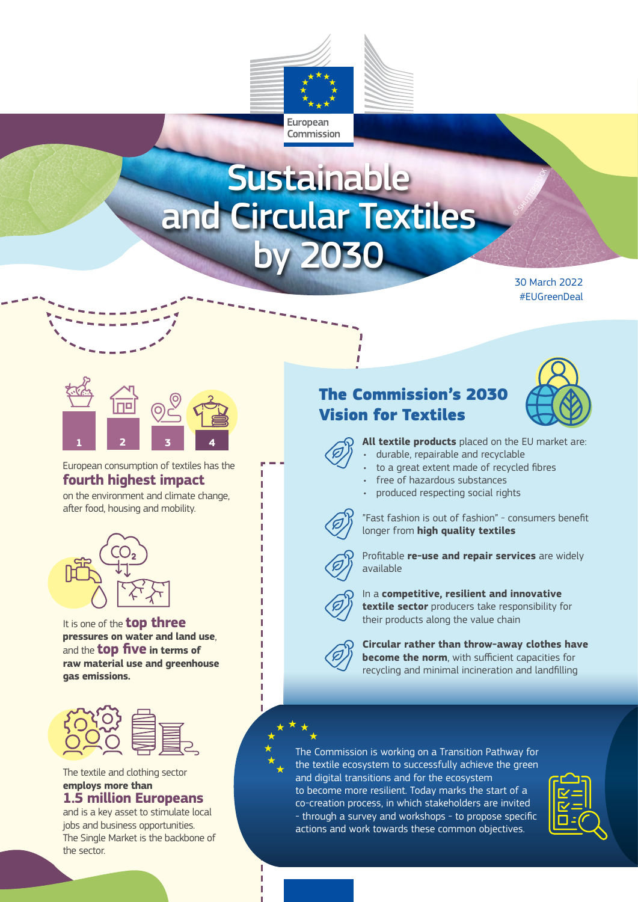

# **Sustainable** and Circular Textiles by 2030

30 March 2022 #EUGreenDeal

SHUTTERSTOCK



European consumption of textiles has the **fourth highest impact**

on the environment and climate change, after food, housing and mobility.



It is one of the **top three pressures on water and land use**, and the **top five in terms of raw material use and greenhouse gas emissions.** 



The textile and clothing sector **employs more than 1.5 million Europeans** 

### and is a key asset to stimulate local jobs and business opportunities. The Single Market is the backbone of the sector.

## The Commission's 2030 Vision for Textiles





- **All textile products** placed on the EU market are:
- durable, repairable and recyclable
- to a great extent made of recycled fibres
- free of hazardous substances
	- produced respecting social rights



л Л л

> "Fast fashion is out of fashion" - consumers benefit longer from **high quality textiles**





#### In a **competitive, resilient and innovative textile sector** producers take responsibility for their products along the value chain



**Circular rather than throw-away clothes have become the norm**, with sufficient capacities for recycling and minimal incineration and landfilling

The Commission is working on a Transition Pathway for the textile ecosystem to successfully achieve the green and digital transitions and for the ecosystem to become more resilient. Today marks the start of a co-creation process, in which stakeholders are invited - through a survey and workshops - to propose specific actions and work towards these common objectives.